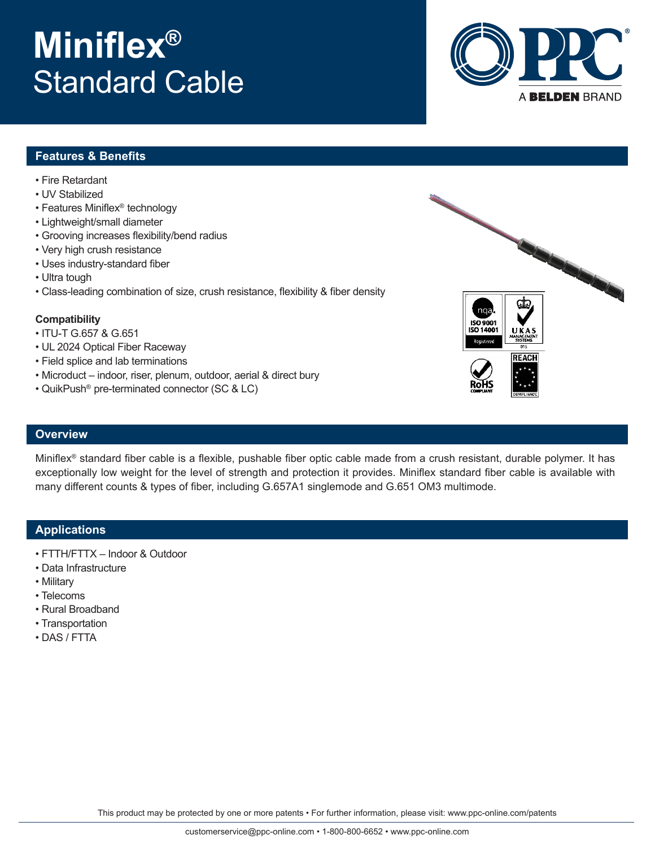# **Miniflex®** Standard Cable



## **Features & Benefits**

- Fire Retardant
- UV Stabilized
- Features Miniflex® technology
- Lightweight/small diameter
- Grooving increases flexibility/bend radius
- Very high crush resistance
- Uses industry-standard fiber
- Ultra tough
- Class-leading combination of size, crush resistance, flexibility & fiber density

#### **Compatibility**

- ITU-T G.657 & G.651
- UL 2024 Optical Fiber Raceway
- Field splice and lab terminations
- Microduct indoor, riser, plenum, outdoor, aerial & direct bury
- QuikPush® pre-terminated connector (SC & LC)

### **Overview**

Miniflex® standard fiber cable is a flexible, pushable fiber optic cable made from a crush resistant, durable polymer. It has exceptionally low weight for the level of strength and protection it provides. Miniflex standard fiber cable is available with many different counts & types of fiber, including G.657A1 singlemode and G.651 OM3 multimode.

## **Applications**

- FTTH/FTTX Indoor & Outdoor
- Data Infrastructure
- Military
- Telecoms
- Rural Broadband
- Transportation
- DAS / FTTA

This product may be protected by one or more patents • For further information, please visit: www.ppc-online.com/patents

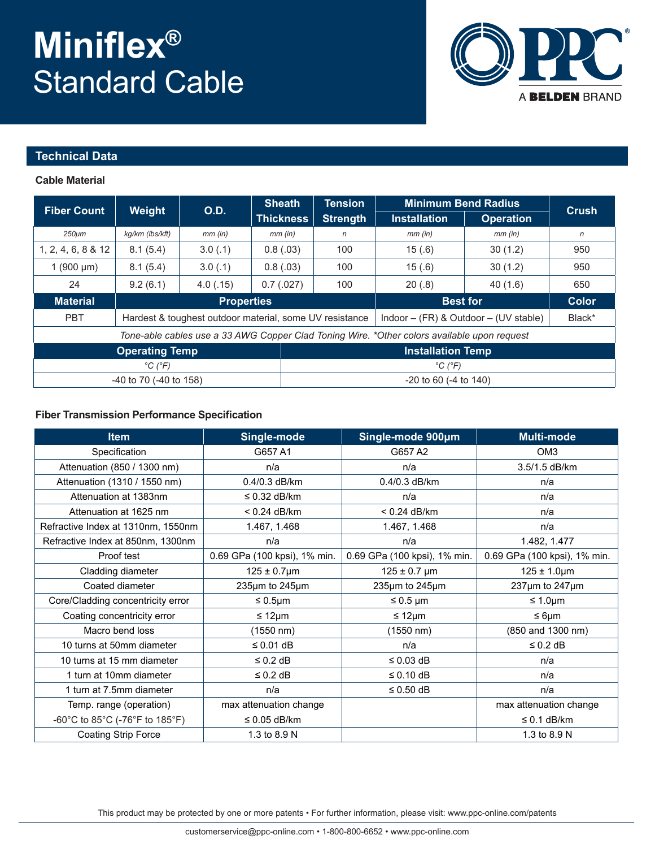# **Miniflex®** Standard Cable



### **Technical Data**

#### **Cable Material**

|                                                                                             | Weight                                                  | 0.D.      | <b>Sheath</b><br><b>Thickness</b> | <b>Tension</b><br><b>Strength</b> | <b>Minimum Bend Radius</b>                          |                  |              |  |  |
|---------------------------------------------------------------------------------------------|---------------------------------------------------------|-----------|-----------------------------------|-----------------------------------|-----------------------------------------------------|------------------|--------------|--|--|
| <b>Fiber Count</b>                                                                          |                                                         |           |                                   |                                   | <b>Installation</b>                                 | <b>Operation</b> | Crush        |  |  |
| $250 \mu m$                                                                                 | kg/km (lbs/kft)                                         | $mm$ (in) | $mm$ (in)                         | n                                 | $mm$ (in)                                           | $mm$ (in)        | $\mathsf{n}$ |  |  |
| 1, 2, 4, 6, 8 & 12                                                                          | 8.1(5.4)                                                | 3.0(0.1)  | 0.8(.03)                          | 100                               | 15(.6)<br>30(1.2)                                   |                  | 950          |  |  |
| 1 $(900 \mu m)$                                                                             | 8.1(5.4)                                                | 3.0(0.1)  | 0.8(.03)                          | 100                               | 15(.6)                                              | 30(1.2)          | 950          |  |  |
| 24                                                                                          | 9.2(6.1)                                                | 4.0(0.15) | 0.7(0.027)                        | 100                               | 20(.8)                                              | 40(1.6)          | 650          |  |  |
| <b>Material</b>                                                                             | <b>Properties</b>                                       |           |                                   |                                   | <b>Best for</b>                                     | <b>Color</b>     |              |  |  |
| <b>PBT</b>                                                                                  | Hardest & toughest outdoor material, some UV resistance |           |                                   |                                   | Indoor $-$ (FR) & Outdoor $-$ (UV stable)<br>Black* |                  |              |  |  |
| Tone-able cables use a 33 AWG Copper Clad Toning Wire. *Other colors available upon request |                                                         |           |                                   |                                   |                                                     |                  |              |  |  |
| <b>Operating Temp</b>                                                                       |                                                         |           |                                   | <b>Installation Temp</b>          |                                                     |                  |              |  |  |
| $^{\circ}C$ ( $^{\circ}F$ )                                                                 |                                                         |           |                                   | $^{\circ}C$ ( $^{\circ}F$ )       |                                                     |                  |              |  |  |
| $-40$ to 70 ( $-40$ to 158)                                                                 |                                                         |           |                                   | $-20$ to 60 $(-4)$ to 140)        |                                                     |                  |              |  |  |

#### **Fiber Transmission Performance Specification**

| <b>Item</b>                        | Single-mode                  | Single-mode 900um            | <b>Multi-mode</b>            |  |
|------------------------------------|------------------------------|------------------------------|------------------------------|--|
| Specification                      | G657 A1                      | G657 A2                      | OM <sub>3</sub>              |  |
| Attenuation (850 / 1300 nm)        | n/a                          | n/a                          | 3.5/1.5 dB/km                |  |
| Attenuation (1310 / 1550 nm)       | 0.4/0.3 dB/km                | 0.4/0.3 dB/km                | n/a                          |  |
| Attenuation at 1383nm              | $\leq$ 0.32 dB/km<br>n/a     |                              | n/a                          |  |
| Attenuation at 1625 nm             | $< 0.24$ dB/km               | $< 0.24$ dB/km               | n/a                          |  |
| Refractive Index at 1310nm, 1550nm | 1.467, 1.468                 | 1.467, 1.468                 | n/a                          |  |
| Refractive Index at 850nm, 1300nm  | n/a                          | n/a                          | 1.482, 1.477                 |  |
| Proof test                         | 0.69 GPa (100 kpsi), 1% min. | 0.69 GPa (100 kpsi), 1% min. | 0.69 GPa (100 kpsi), 1% min. |  |
| Cladding diameter                  | $125 \pm 0.7 \mu m$          | $125 \pm 0.7$ µm             | $125 \pm 1.0 \mu m$          |  |
| Coated diameter                    | 235µm to 245µm               | 235µm to 245µm               | 237µm to 247µm               |  |
| Core/Cladding concentricity error  | ≤ 0.5 $µm$                   | $\leq 0.5$ µm                | $\leq 1.0 \mu m$             |  |
| Coating concentricity error        | $\leq 12 \mu m$              | $\leq 12 \mu m$              | $\leq 6 \mu m$               |  |
| Macro bend loss                    | $(1550 \; nm)$               | (1550 nm)                    | (850 and 1300 nm)            |  |
| 10 turns at 50mm diameter          | $\leq$ 0.01 dB               | n/a                          | $\leq 0.2$ dB                |  |
| 10 turns at 15 mm diameter         | $\leq$ 0.2 dB                | $\leq$ 0.03 dB               | n/a                          |  |
| 1 turn at 10mm diameter            | $\leq$ 0.2 dB                | $\leq$ 0.10 dB               | n/a                          |  |
| 1 turn at 7.5mm diameter           | n/a                          | ≤ 0.50 dB                    | n/a                          |  |
| Temp. range (operation)            | max attenuation change       |                              | max attenuation change       |  |
| -60°C to 85°C (-76°F to 185°F)     | $\leq 0.05$ dB/km            |                              | $\leq 0.1$ dB/km             |  |
| <b>Coating Strip Force</b>         | 1.3 to 8.9 N                 |                              | 1.3 to 8.9 N                 |  |

This product may be protected by one or more patents • For further information, please visit: www.ppc-online.com/patents